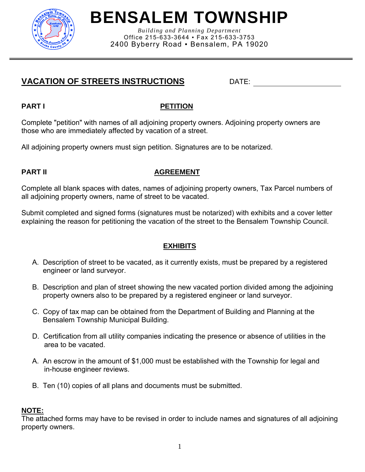

# **BENSALEM TOWNSHIP**

*Building and Planning Department*  Office 215-633-3644 ▪ Fax 215-633-3753 2400 Byberry Road ▪ Bensalem, PA 19020

# **VACATION OF STREETS INSTRUCTIONS DATE:**

# **PART I** PART I

Complete "petition" with names of all adjoining property owners. Adjoining property owners are those who are immediately affected by vacation of a street.

All adjoining property owners must sign petition. Signatures are to be notarized.

# **PART II** AGREEMENT

Complete all blank spaces with dates, names of adjoining property owners, Tax Parcel numbers of all adjoining property owners, name of street to be vacated.

Submit completed and signed forms (signatures must be notarized) with exhibits and a cover letter explaining the reason for petitioning the vacation of the street to the Bensalem Township Council.

# **EXHIBITS**

- A. Description of street to be vacated, as it currently exists, must be prepared by a registered engineer or land surveyor.
- B. Description and plan of street showing the new vacated portion divided among the adjoining property owners also to be prepared by a registered engineer or land surveyor.
- C. Copy of tax map can be obtained from the Department of Building and Planning at the Bensalem Township Municipal Building.
- D. Certification from all utility companies indicating the presence or absence of utilities in the area to be vacated.
- A. An escrow in the amount of \$1,000 must be established with the Township for legal and in-house engineer reviews.
- B. Ten (10) copies of all plans and documents must be submitted.

# **NOTE:**

The attached forms may have to be revised in order to include names and signatures of all adjoining property owners.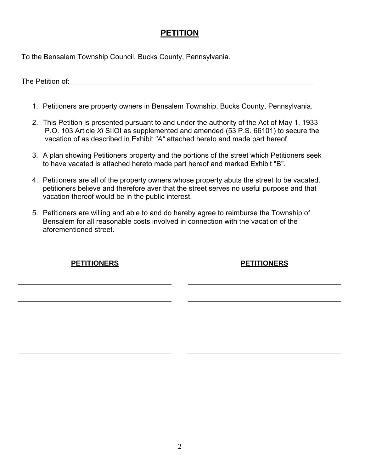# **PETITION**

To the Bensalem Township Council, Bucks County, Pennsylvania.

The Petition of: **with the set of the set of the set of the set of the set of the set of the set of the set of the set of the set of the set of the set of the set of the set of the set of the set of the set of the set of t** 

- 1. Petitioners are property owners in Bensalem Township, Bucks County, Pennsylvania.
- 2. This Petition is presented pursuant to and under the authority of the Act of May 1, 1933 P.O. 103 Article *Xl* SIIOI as supplemented and amended (53 P.S. 66101) to secure the vacation of as described in Exhibit *"A"* attached hereto and made part hereof.
- 3. A plan showing Petitioners property and the portions of the street which Petitioners seek to have vacated is attached hereto made part hereof and marked Exhibit "B".
- 4. Petitioners are all of the property owners whose property abuts the street to be vacated. petitioners believe and therefore aver that the street serves no useful purpose and that vacation thereof would be in the public interest.
- 5. Petitioners are willing and able to and do hereby agree to reimburse the Township of Bensalem for all reasonable costs involved in connection with the vacation of the aforementioned street.

| <b>PETITIONERS</b> | <b>PETITIONERS</b> |
|--------------------|--------------------|
|                    |                    |
|                    |                    |
|                    |                    |
|                    |                    |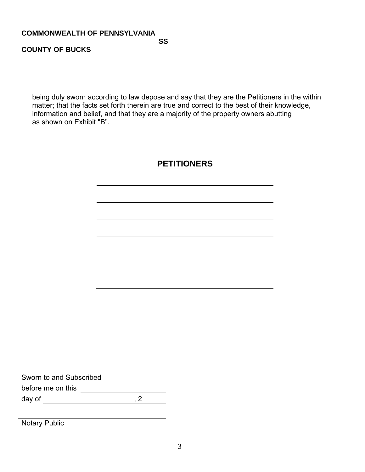#### **COMMONWEALTH OF PENNSYLVANIA**

**SS** SS SS SS SS SS SS SS SS SS

### **COUNTY OF BUCKS**

being duly sworn according to law depose and say that they are the Petitioners in the within matter; that the facts set forth therein are true and correct to the best of their knowledge, information and belief, and that they are a majority of the property owners abutting as shown on Exhibit "B".

# **PETITIONERS**

Sworn to and Subscribed before me on this day of , 2

Notary Public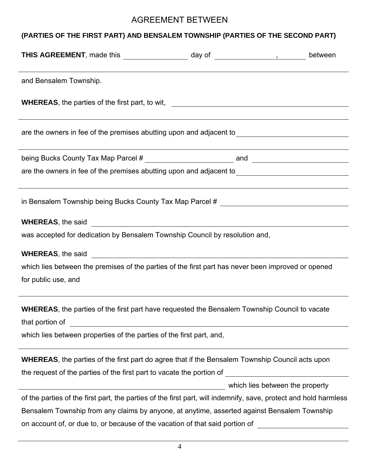# AGREEMENT BETWEEN

# **(PARTIES OF THE FIRST PART) AND BENSALEM TOWNSHIP (PARTIES OF THE SECOND PART)**

| THIS AGREEMENT, made this ____________________ day of _________________, between                                                                                                                                                                 |                                 |  |  |  |
|--------------------------------------------------------------------------------------------------------------------------------------------------------------------------------------------------------------------------------------------------|---------------------------------|--|--|--|
| and Bensalem Township.                                                                                                                                                                                                                           |                                 |  |  |  |
| WHEREAS, the parties of the first part, to wit, ________________________________                                                                                                                                                                 |                                 |  |  |  |
| are the owners in fee of the premises abutting upon and adjacent to ________________________________                                                                                                                                             |                                 |  |  |  |
| ,我们也不会有什么。""我们的人,我们也不会有什么?""我们的人,我们也不会有什么?""我们的人,我们也不会有什么?""我们的人,我们也不会有什么?""我们的人                                                                                                                                                                 |                                 |  |  |  |
| are the owners in fee of the premises abutting upon and adjacent to ________________________________                                                                                                                                             |                                 |  |  |  |
| in Bensalem Township being Bucks County Tax Map Parcel # ________________________                                                                                                                                                                |                                 |  |  |  |
|                                                                                                                                                                                                                                                  |                                 |  |  |  |
| was accepted for dedication by Bensalem Township Council by resolution and,                                                                                                                                                                      |                                 |  |  |  |
|                                                                                                                                                                                                                                                  |                                 |  |  |  |
| which lies between the premises of the parties of the first part has never been improved or opened                                                                                                                                               |                                 |  |  |  |
| for public use, and                                                                                                                                                                                                                              |                                 |  |  |  |
| <b>WHEREAS</b> , the parties of the first part have requested the Bensalem Township Council to vacate<br>that portion of<br><u> 1980 - Jan Samuel Barbara, martin di sebagai personal di sebagai personal di sebagai personal di sebagai per</u> |                                 |  |  |  |
| which lies between properties of the parties of the first part, and,                                                                                                                                                                             |                                 |  |  |  |
| <b>WHEREAS</b> , the parties of the first part do agree that if the Bensalem Township Council acts upon                                                                                                                                          |                                 |  |  |  |
| the request of the parties of the first part to vacate the portion of                                                                                                                                                                            |                                 |  |  |  |
| <u> 1989 - Johann Barn, fransk politik (d. 1989)</u>                                                                                                                                                                                             | which lies between the property |  |  |  |
| of the parties of the first part, the parties of the first part, will indemnify, save, protect and hold harmless                                                                                                                                 |                                 |  |  |  |
| Bensalem Township from any claims by anyone, at anytime, asserted against Bensalem Township                                                                                                                                                      |                                 |  |  |  |
| on account of, or due to, or because of the vacation of that said portion of                                                                                                                                                                     |                                 |  |  |  |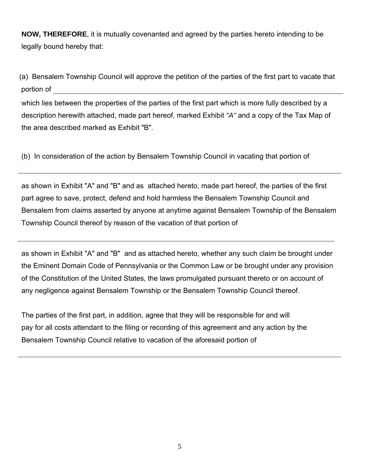**NOW, THEREFORE**, it is mutually covenanted and agreed by the parties hereto intending to be legally bound hereby that:

(a) Bensalem Township Council will approve the petition of the parties of the first part to vacate that portion of

which lies between the properties of the parties of the first part which is more fully described by a description herewith attached, made part hereof, marked Exhibit *"A"* and a copy of the Tax Map of the area described marked as Exhibit "B".

(b) In consideration of the action by Bensalem Township Council in vacating that portion of

as shown in Exhibit "A" and "B" and as attached hereto, made part hereof, the parties of the first part agree to save, protect, defend and hold harmless the Bensalem Township Council and Bensalem from claims asserted by anyone at anytime against Bensalem Township of the Bensalem Township Council thereof by reason of the vacation of that portion of

as shown in Exhibit "A" and "B" and as attached hereto, whether any such claim be brought under the Eminent Domain Code of Pennsylvania or the Common Law or be brought under any provision of the Constitution of the United States, the laws promulgated pursuant thereto or on account of any negligence against Bensalem Township or the Bensalem Township Council thereof.

The parties of the first part, in addition, agree that they will be responsible for and will pay for all costs attendant to the filing or recording of this agreement and any action by the Bensalem Township Council relative to vacation of the aforesaid portion of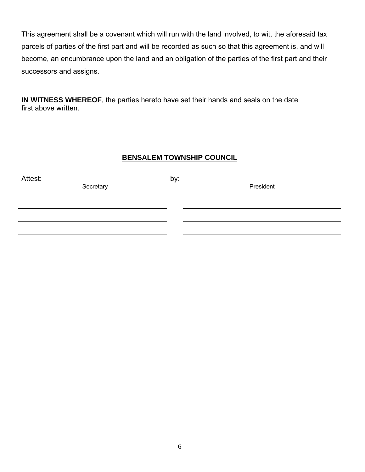This agreement shall be a covenant which will run with the land involved, to wit, the aforesaid tax parcels of parties of the first part and will be recorded as such so that this agreement is, and will become, an encumbrance upon the land and an obligation of the parties of the first part and their successors and assigns.

**IN WITNESS WHEREOF**, the parties hereto have set their hands and seals on the date first above written.

### **BENSALEM TOWNSHIP COUNCIL**

| Attest:   | by:       |
|-----------|-----------|
| Secretary | President |
|           |           |
|           |           |
|           |           |
|           |           |
|           |           |
|           |           |
|           |           |